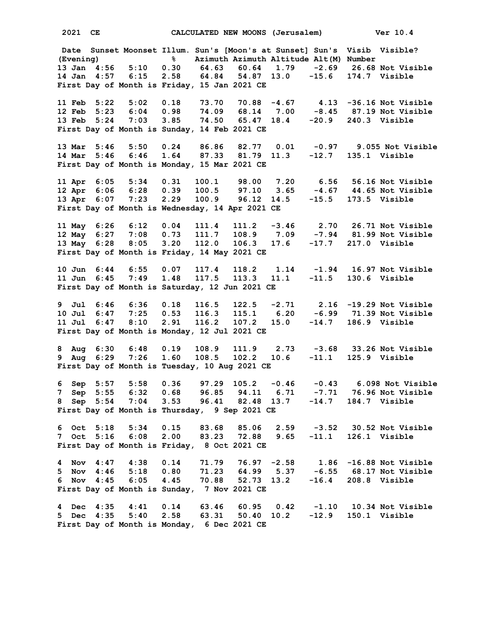**2021 CE CALCULATED NEW MOONS (Jerusalem) Ver 10.4 Date Sunset Moonset Illum. Sun's [Moon's at Sunset] Sun's Visib Visible? (Evening) % Azimuth Azimuth Altitude Alt(M) Number 13 Jan 4:56 5:10 0.30 64.63 60.64 1.79 -2.69 26.68 Not Visible 14 Jan 4:57 6:15 2.58 64.84 54.87 13.0 -15.6 174.7 Visible First Day of Month is Friday, 15 Jan 2021 CE 11 Feb 5:22 5:02 0.18 73.70 70.88 -4.67 4.13 -36.16 Not Visible 12 Feb 5:23 6:04 0.98 74.09 68.14 7.00 -8.45 87.19 Not Visible 13 Feb 5:24 7:03 3.85 74.50 65.47 18.4 -20.9 240.3 Visible First Day of Month is Sunday, 14 Feb 2021 CE 13 Mar 5:46 5:50 0.24 86.86 82.77 0.01 -0.97 9.055 Not Visible 14 Mar 5:46 6:46 1.64 87.33 81.79 11.3 -12.7 135.1 Visible First Day of Month is Monday, 15 Mar 2021 CE 11 Apr 6:05 5:34 0.31 100.1 98.00 7.20 6.56 56.16 Not Visible 12 Apr 6:06 6:28 0.39 100.5 97.10 3.65 -4.67 44.65 Not Visible 13 Apr 6:07 7:23 2.29 100.9 96.12 14.5 -15.5 173.5 Visible First Day of Month is Wednesday, 14 Apr 2021 CE 11 May 6:26 6:12 0.04 111.4 111.2 -3.46 2.70 26.71 Not Visible 12 May 6:27 7:08 0.73 111.7 108.9 7.09 -7.94 81.99 Not Visible 13 May 6:28 8:05 3.20 112.0 106.3 17.6 -17.7 217.0 Visible First Day of Month is Friday, 14 May 2021 CE 10 Jun 6:44 6:55 0.07 117.4 118.2 1.14 -1.94 16.97 Not Visible 11 Jun 6:45 7:49 1.48 117.5 113.3 11.1 -11.5 130.6 Visible First Day of Month is Saturday, 12 Jun 2021 CE 9 Jul 6:46 6:36 0.18 116.5 122.5 -2.71 2.16 -19.29 Not Visible 10 Jul 6:47 7:25 0.53 116.3 115.1 6.20 -6.99 71.39 Not Visible 11 Jul 6:47 8:10 2.91 116.2 107.2 15.0 -14.7 186.9 Visible First Day of Month is Monday, 12 Jul 2021 CE 8 Aug 6:30 6:48 0.19 108.9 111.9 2.73 -3.68 33.26 Not Visible 9 Aug 6:29 7:26 1.60 108.5 102.2 10.6 -11.1 125.9 Visible First Day of Month is Tuesday, 10 Aug 2021 CE 6 Sep 5:57 5:58 0.36 97.29 105.2 -0.46 -0.43 6.098 Not Visible 7 Sep 5:55 6:32 0.68 96.85 94.11 6.71 -7.71 76.96 Not Visible 8 Sep 5:54 7:04 3.53 96.41 82.48 13.7 -14.7 184.7 Visible First Day of Month is Thursday, 9 Sep 2021 CE 6 Oct 5:18 5:34 0.15 83.68 85.06 2.59 -3.52 30.52 Not Visible 7 Oct 5:16 6:08 2.00 83.23 72.88 9.65 -11.1 126.1 Visible First Day of Month is Friday, 8 Oct 2021 CE 4 Nov 4:47 4:38 0.14 71.79 76.97 -2.58 1.86 -16.88 Not Visible 5 Nov 4:46 5:18 0.80 71.23 64.99 5.37 -6.55 68.17 Not Visible 6 Nov 4:45 6:05 4.45 70.88 52.73 13.2 -16.4 208.8 Visible First Day of Month is Sunday, 7 Nov 2021 CE 4 Dec 4:35 4:41 0.14 63.46 60.95 0.42 -1.10 10.34 Not Visible 5 Dec 4:35 5:40 2.58 63.31 50.40 10.2 -12.9 150.1 Visible First Day of Month is Monday, 6 Dec 2021 CE**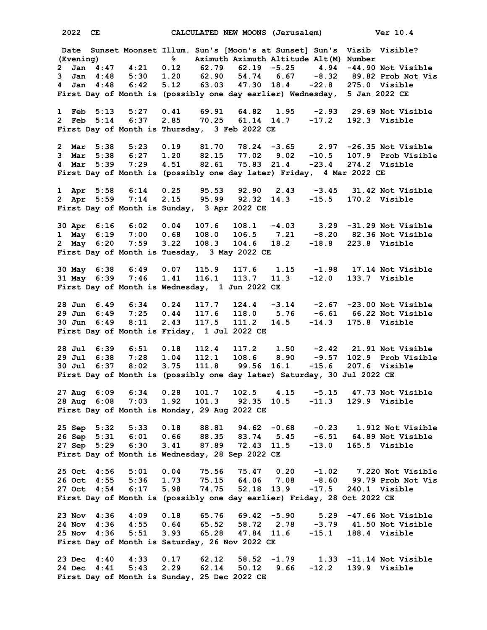**2022 CE CALCULATED NEW MOONS (Jerusalem) Ver 10.4 Date Sunset Moonset Illum. Sun's [Moon's at Sunset] Sun's Visib Visible? (Evening) % Azimuth Azimuth Altitude Alt(M) Number 2 Jan 4:47 4:21 0.12 62.79 62.19 -5.25 4.94 -44.90 Not Visible 3 Jan 4:48 5:30 1.20 62.90 54.74 6.67 -8.32 89.82 Prob Not Vis 4 Jan 4:48 6:42 5.12 63.03 47.30 18.4 -22.8 275.0 Visible First Day of Month is (possibly one day earlier) Wednesday, 5 Jan 2022 CE 1 Feb 5:13 5:27 0.41 69.91 64.82 1.95 -2.93 29.69 Not Visible 2 Feb 5:14 6:37 2.85 70.25 61.14 14.7 -17.2 192.3 Visible First Day of Month is Thursday, 3 Feb 2022 CE 2 Mar 5:38 5:23 0.19 81.70 78.24 -3.65 2.97 -26.35 Not Visible 3 Mar 5:38 6:27 1.20 82.15 77.02 9.02 -10.5 107.9 Prob Visible 4 Mar 5:39 7:29 4.51 82.61 75.83 21.4 -23.4 274.2 Visible First Day of Month is (possibly one day later) Friday, 4 Mar 2022 CE 1 Apr 5:58 6:14 0.25 95.53 92.90 2.43 -3.45 31.42 Not Visible 2 Apr 5:59 7:14 2.15 95.99 92.32 14.3 -15.5 170.2 Visible First Day of Month is Sunday, 3 Apr 2022 CE 30 Apr 6:16 6:02 0.04 107.6 108.1 -4.03 3.29 -31.29 Not Visible 1 May 6:19 7:00 0.68 108.0 106.5 7.21 -8.20 82.36 Not Visible 2 May 6:20 7:59 3.22 108.3 104.6 18.2 -18.8 223.8 Visible First Day of Month is Tuesday, 3 May 2022 CE 30 May 6:38 6:49 0.07 115.9 117.6 1.15 -1.98 17.14 Not Visible 31 May 6:39 7:46 1.41 116.1 113.7 11.3 -12.0 133.7 Visible First Day of Month is Wednesday, 1 Jun 2022 CE 28 Jun 6.49 6:34 0.24 117.7 124.4 -3.14 -2.67 -23.00 Not Visible 29 Jun 6:49 7:25 0.44 117.6 118.0 5.76 -6.61 66.22 Not Visible 30 Jun 6:49 8:11 2.43 117.5 111.2 14.5 -14.3 175.8 Visible First Day of Month is Friday, 1 Jul 2022 CE 28 Jul 6:39 6:51 0.18 112.4 117.2 1.50 -2.42 21.91 Not Visible 29 Jul 6:38 7:28 1.04 112.1 108.6 8.90 -9.57 102.9 Prob Visible 30 Jul 6:37 8:02 3.75 111.8 99.56 16.1 -15.6 207.6 Visible First Day of Month is (possibly one day later) Saturday, 30 Jul 2022 CE 27 Aug 6:09 6:34 0.28 101.7 102.5 4.15 -5.15 47.73 Not Visible 28 Aug 6:08 7:03 1.92 101.3 92.35 10.5 -11.3 129.9 Visible First Day of Month is Monday, 29 Aug 2022 CE 25 Sep 5:32 5:33 0.18 88.81 94.62 -0.68 -0.23 1.912 Not Visible 26 Sep 5:31 6:01 0.66 88.35 83.74 5.45 -6.51 64.89 Not Visible 27 Sep 5:29 6:30 3.41 87.89 72.43 11.5 -13.0 165.5 Visible First Day of Month is Wednesday, 28 Sep 2022 CE 25 Oct 4:56 5:01 0.04 75.56 75.47 0.20 -1.02 7.220 Not Visible 26 Oct 4:55 5:36 1.73 75.15 64.06 7.08 -8.60 99.79 Prob Not Vis 27 Oct 4:54 6:17 5.98 74.75 52.18 13.9 -17.5 240.1 Visible First Day of Month is (possibly one day earlier) Friday, 28 Oct 2022 CE 23 Nov 4:36 4:09 0.18 65.76 69.42 -5.90 5.29 -47.66 Not Visible 24 Nov 4:36 4:55 0.64 65.52 58.72 2.78 -3.79 41.50 Not Visible 25 Nov 4:36 5:51 3.93 65.28 47.84 11.6 -15.1 188.4 Visible First Day of Month is Saturday, 26 Nov 2022 CE 23 Dec 4:40 4:33 0.17 62.12 58.52 -1.79 1.33 -11.14 Not Visible 24 Dec 4:41 5:43 2.29 62.14 50.12 9.66 -12.2 139.9 Visible First Day of Month is Sunday, 25 Dec 2022 CE**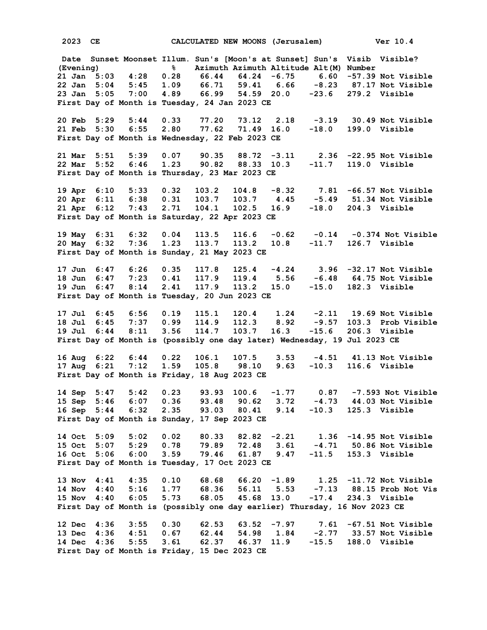**2023 CE CALCULATED NEW MOONS (Jerusalem) Ver 10.4**

 **Date Sunset Moonset Illum. Sun's [Moon's at Sunset] Sun's Visib Visible? (Evening) % Azimuth Azimuth Altitude Alt(M) Number 21 Jan 5:03 4:28 0.28 66.44 64.24 -6.75 6.60 -57.39 Not Visible 22 Jan 5:04 5:45 1.09 66.71 59.41 6.66 -8.23 87.17 Not Visible 23 Jan 5:05 7:00 4.89 66.99 54.59 20.0 -23.6 279.2 Visible First Day of Month is Tuesday, 24 Jan 2023 CE 20 Feb 5:29 5:44 0.33 77.20 73.12 2.18 -3.19 30.49 Not Visible 21 Feb 5:30 6:55 2.80 77.62 71.49 16.0 -18.0 199.0 Visible First Day of Month is Wednesday, 22 Feb 2023 CE 21 Mar 5:51 5:39 0.07 90.35 88.72 -3.11 2.36 -22.95 Not Visible 22 Mar 5:52 6:46 1.23 90.82 88.33 10.3 -11.7 119.0 Visible First Day of Month is Thursday, 23 Mar 2023 CE 19 Apr 6:10 5:33 0.32 103.2 104.8 -8.32 7.81 -66.57 Not Visible 20 Apr 6:11 6:38 0.31 103.7 103.7 4.45 -5.49 51.34 Not Visible 21 Apr 6:12 7:43 2.71 104.1 102.5 16.9 -18.0 204.3 Visible First Day of Month is Saturday, 22 Apr 2023 CE 19 May 6:31 6:32 0.04 113.5 116.6 -0.62 -0.14 -0.374 Not Visible 20 May 6:32 7:36 1.23 113.7 113.2 10.8 -11.7 126.7 Visible First Day of Month is Sunday, 21 May 2023 CE 17 Jun 6:47 6:26 0.35 117.8 125.4 -4.24 3.96 -32.17 Not Visible 18 Jun 6:47 7:23 0.41 117.9 119.4 5.56 -6.48 64.75 Not Visible 19 Jun 6:47 8:14 2.41 117.9 113.2 15.0 -15.0 182.3 Visible First Day of Month is Tuesday, 20 Jun 2023 CE 17 Jul 6:45 6:56 0.19 115.1 120.4 1.24 -2.11 19.69 Not Visible 18 Jul 6:45 7:37 0.99 114.9 112.3 8.92 -9.57 103.3 Prob Visible 19 Jul 6:44 8:11 3.56 114.7 103.7 16.3 -15.6 206.3 Visible First Day of Month is (possibly one day later) Wednesday, 19 Jul 2023 CE 16 Aug 6:22 6:44 0.22 106.1 107.5 3.53 -4.51 41.13 Not Visible 17 Aug 6:21 7:12 1.59 105.8 98.10 9.63 -10.3 116.6 Visible First Day of Month is Friday, 18 Aug 2023 CE 14 Sep 5:47 5:42 0.23 93.93 100.6 -1.77 0.87 -7.593 Not Visible 15 Sep 5:46 6:07 0.36 93.48 90.62 3.72 -4.73 44.03 Not Visible 16 Sep 5:44 6:32 2.35 93.03 80.41 9.14 -10.3 125.3 Visible First Day of Month is Sunday, 17 Sep 2023 CE 14 Oct 5:09 5:02 0.02 80.33 82.82 -2.21 1.36 -14.95 Not Visible 15 Oct 5:07 5:29 0.78 79.89 72.48 3.61 -4.71 50.86 Not Visible 16 Oct 5:06 6:00 3.59 79.46 61.87 9.47 -11.5 153.3 Visible First Day of Month is Tuesday, 17 Oct 2023 CE 13 Nov 4:41 4:35 0.10 68.68 66.20 -1.89 1.25 -11.72 Not Visible 14 Nov 4:40 5:16 1.77 68.36 56.11 5.53 -7.13 88.15 Prob Not Vis 15 Nov 4:40 6:05 5.73 68.05 45.68 13.0 -17.4 234.3 Visible First Day of Month is (possibly one day earlier) Thursday, 16 Nov 2023 CE 12 Dec 4:36 3:55 0.30 62.53 63.52 -7.97 7.61 -67.51 Not Visible 13 Dec 4:36 4:51 0.67 62.44 54.98 1.84 -2.77 33.57 Not Visible 14 Dec 4:36 5:55 3.61 62.37 46.37 11.9 -15.5 188.0 Visible First Day of Month is Friday, 15 Dec 2023 CE**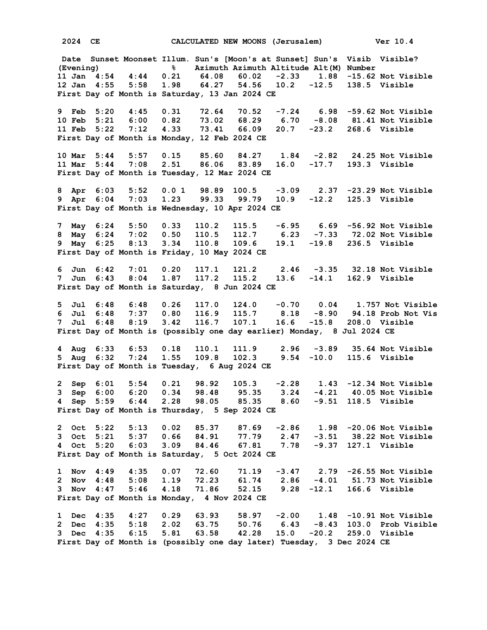**2024 CE CALCULATED NEW MOONS (Jerusalem) Ver 10.4 Date Sunset Moonset Illum. Sun's [Moon's at Sunset] Sun's Visib Visible? (Evening) % Azimuth Azimuth Altitude Alt(M) Number 11 Jan 4:54 4:44 0.21 64.08 60.02 -2.33 1.88 -15.62 Not Visible 12 Jan 4:55 5:58 1.98 64.27 54.56 10.2 -12.5 138.5 Visible First Day of Month is Saturday, 13 Jan 2024 CE 9 Feb 5:20 4:45 0.31 72.64 70.52 -7.24 6.98 -59.62 Not Visible 10 Feb 5:21 6:00 0.82 73.02 68.29 6.70 -8.08 81.41 Not Visible 11 Feb 5:22 7:12 4.33 73.41 66.09 20.7 -23.2 268.6 Visible First Day of Month is Monday, 12 Feb 2024 CE 10 Mar 5:44 5:57 0.15 85.60 84.27 1.84 -2.82 24.25 Not Visible 11 Mar 5:44 7:08 2.51 86.06 83.89 16.0 -17.7 193.3 Visible First Day of Month is Tuesday, 12 Mar 2024 CE 8 Apr 6:03 5:52 0.0 1 98.89 100.5 -3.09 2.37 -23.29 Not Visible 9 Apr 6:04 7:03 1.23 99.33 99.79 10.9 -12.2 125.3 Visible First Day of Month is Wednesday, 10 Apr 2024 CE 7 May 6:24 5:50 0.33 110.2 115.5 -6.95 6.69 -56.92 Not Visible 8 May 6:24 7:02 0.50 110.5 112.7 6.23 -7.33 72.02 Not Visible 9 May 6:25 8:13 3.34 110.8 109.6 19.1 -19.8 236.5 Visible First Day of Month is Friday, 10 May 2024 CE 6 Jun 6:42 7:01 0.20 117.1 121.2 2.46 -3.35 32.18 Not Visible 7 Jun 6:43 8:04 1.87 117.2 115.2 13.6 -14.1 162.9 Visible First Day of Month is Saturday, 8 Jun 2024 CE 5 Jul 6:48 6:48 0.26 117.0 124.0 -0.70 0.04 1.757 Not Visible 6 Jul 6:48 7:37 0.80 116.9 115.7 8.18 -8.90 94.18 Prob Not Vis 7 Jul 6:48 8:19 3.42 116.7 107.1 16.6 -15.8 208.0 Visible First Day of Month is (possibly one day earlier) Monday, 8 Jul 2024 CE 4 Aug 6:33 6:53 0.18 110.1 111.9 2.96 -3.89 35.64 Not Visible 5 Aug 6:32 7:24 1.55 109.8 102.3 9.54 -10.0 115.6 Visible First Day of Month is Tuesday, 6 Aug 2024 CE 2 Sep 6:01 5:54 0.21 98.92 105.3 -2.28 1.43 -12.34 Not Visible 3 Sep 6:00 6:20 0.34 98.48 95.35 3.24 -4.21 40.05 Not Visible 4 Sep 5:59 6:44 2.28 98.05 85.35 8.60 -9.51 118.5 Visible First Day of Month is Thursday, 5 Sep 2024 CE 2 Oct 5:22 5:13 0.02 85.37 87.69 -2.86 1.98 -20.06 Not Visible 3 Oct 5:21 5:37 0.66 84.91 77.79 2.47 -3.51 38.22 Not Visible 4 Oct 5:20 6:03 3.09 84.46 67.81 7.78 -9.37 127.1 Visible** 9 Oct 5:21 5:37 0.66 84.91 77.79<br>
4 Oct 5:20 6:03 3.09 84.46 67.81<br> **First Day of Month is Saturday, 5 Oct 2024 CE 1 Nov 4:49 4:35 0.07 72.60 71.19 -3.47 2.79 -26.55 Not Visible 2 Nov 4:48 5:08 1.19 72.23 61.74 2.86 -4.01 51.73 Not Visible 3 Nov 4:47 5:46 4.18 71.86 52.15 9.28 -12.1 166.6 Visible First Day of Month is Monday, 4 Nov 2024 CE 1 Dec 4:35 4:27 0.29 63.93 58.97 -2.00 1.48 -10.91 Not Visible 2 Dec 4:35 5:18 2.02 63.75 50.76 6.43 -8.43 103.0 Prob Visible 3 Dec 4:35 6:15 5.81 63.58 42.28 15.0 -20.2 259.0 Visible First Day of Month is (possibly one day later) Tuesday, 3 Dec 2024 CE**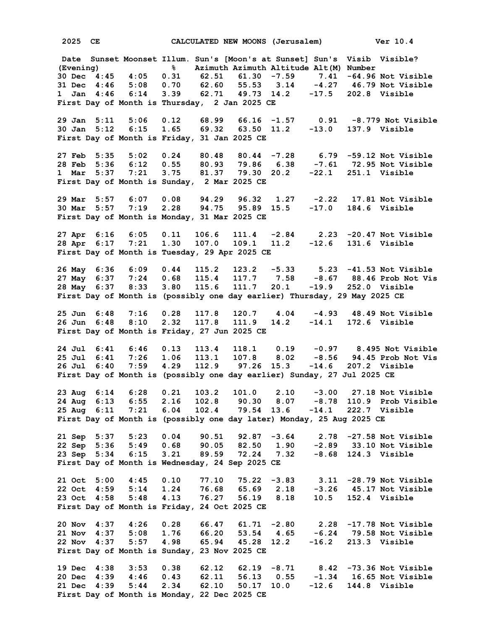**2025 CE CALCULATED NEW MOONS (Jerusalem) Ver 10.4**

 **Date Sunset Moonset Illum. Sun's [Moon's at Sunset] Sun's Visib Visible? (Evening) % Azimuth Azimuth Altitude Alt(M) Number 30 Dec 4:45 4:05 0.31 62.51 61.30 -7.59 7.41 -64.96 Not Visible 31 Dec 4:46 5:08 0.70 62.60 55.53 3.14 1 Jan 4:46 6:14 3.39 62.71 49.73 14.2 -17.5 202.8 Visible First Day of Month is Thursday, 2 Jan 2025 CE 29 Jan 5:11 5:06 0.12 68.99 66.16 -1.57 0.91 -8.779 Not Visible 30 Jan 5:12 6:15 1.65 69.32 63.50 11.2 -13.0 137.9 Visible First Day of Month is Friday, 31 Jan 2025 CE 27 Feb 5:35 5:02 0.24 80.48 80.44 -7.28 6.79 -59.12 Not Visible 28 Feb 5:36 6:12 0.55 80.93 79.86 6.38 -7.61 72.95 Not Visible 1 Mar 5:37 7:21 3.75 81.37 79.30 20.2 -22.1 251.1 Visible First Day of Month is Sunday, 2 Mar 2025 CE 29 Mar 5:57 6:07 0.08 94.29 96.32 1.27 -2.22 17.81 Not Visible 30 Mar 5:57 7:19 2.28 94.75 95.89 15.5 -17.0 184.6 Visible First Day of Month is Monday, 31 Mar 2025 CE 27 Apr 6:16 6:05 0.11 106.6 111.4 -2.84 2.23 -20.47 Not Visible 28 Apr 6:17 7:21 1.30 107.0 109.1 11.2 -12.6 131.6 Visible First Day of Month is Tuesday, 29 Apr 2025 CE 26 May 6:36 6:09 0.44 115.2 123.2 -5.33 5.23 -41.53 Not Visible 27 May 6:37 7:24 0.68 115.4 117.7 7.58 -8.67 88.46 Prob Not Vis 28 May 6:37 8:33 3.80 115.6 111.7 20.1 -19.9 252.0 Visible First Day of Month is (possibly one day earlier) Thursday, 29 May 2025 CE 25 Jun 6:48 7:16 0.28 117.8 120.7 4.04 -4.93 48.49 Not Visible** 26 Jun 6:48 8:10 2.32 117.8 111.9 14.2 **First Day of Month is Friday, 27 Jun 2025 CE 24 Jul 6:41 6:46 0.13 113.4 118.1 0.19 -0.97 8.495 Not Visible 25 Jul 6:41 7:26 1.06 113.1 107.8 8.02 -8.56 94.45 Prob Not Vis 26 Jul 6:40 7:59 4.29 112.9 97.26 15.3 -14.6 207.2 Visible First Day of Month is (possibly one day earlier) Sunday, 27 Jul 2025 CE 23 Aug 6:14 6:28 0.21 103.2 101.0 2.10 -3.00 27.18 Not Visible 24 Aug 6:13 6:55 2.16 102.8 90.30 8.07 -8.78 110.9 Prob Visible 25 Aug 6:11 7:21 6.04 102.4 79.54 13.6 -14.1 222.7 Visible First Day of Month is (possibly one day later) Monday, 25 Aug 2025 CE 21 Sep 5:37 5:23 0.04 90.51 92.87 -3.64 2.78 -27.58 Not Visible 22 Sep 5:36 5:49 0.68 90.05 82.50 1.90 -2.89 33.10 Not Visible 23 Sep 5:34 6:15 3.21 89.59 72.24 7.32 -8.68 124.3 Visible First Day of Month is Wednesday, 24 Sep 2025 CE 21 Oct 5:00 4:45 0.10 77.10 75.22 -3.83 3.11 -28.79 Not Visible 22 Oct 4:59 5:14 1.24 76.68 65.69 2.18 -3.26 45.17 Not Visible 23 Oct 4:58 5:48 4.13 76.27 56.19 8.18 10.5 152.4 Visible First Day of Month is Friday, 24 Oct 2025 CE 20 Nov 4:37 4:26 0.28 66.47 61.71 -2.80 2.28 -17.78 Not Visible 21 Nov 4:37 5:08 1.76 66.20 53.54 4.65 -6.24 79.58 Not Visible 22 Nov 4:37 5:57 4.98 65.94 45.28 12.2 -16.2 213.3 Visible First Day of Month is Sunday, 23 Nov 2025 CE 19 Dec 4:38 3:53 0.38 62.12 62.19 -8.71 8.42 -73.36 Not Visible** 20 Dec 4:39 4:46 0.43 62.11 56.13 0.55 **21 Dec 4:39 5:44 2.34 62.10 50.17 10.0 -12.6 144.8 Visible First Day of Month is Monday, 22 Dec 2025 CE**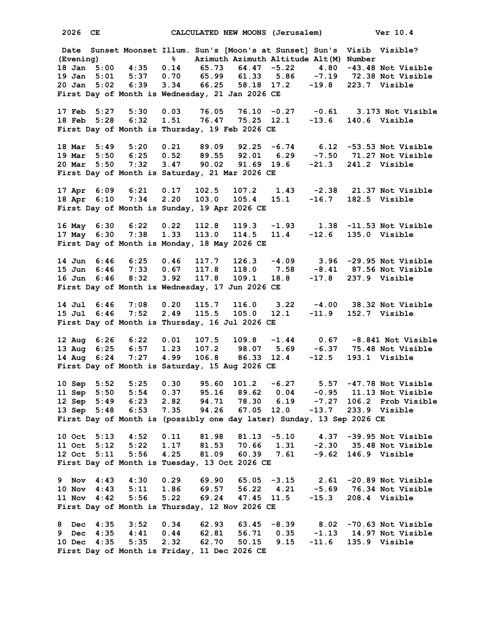**2026 CE CALCULATED NEW MOONS (Jerusalem) Ver 10.4 Date Sunset Moonset Illum. Sun's [Moon's at Sunset] Sun's Visib Visible? (Evening) % Azimuth Azimuth Altitude Alt(M) Number 18 Jan 5:00 4:35 0.14 65.73 64.47 -5.22 4.80 -43.48 Not Visible 19 Jan 5:01 5:37 0.70 65.99 61.33 5.86 -7.19 72.38 Not Visible 20 Jan 5:02 6:39 3.34 66.25 58.18 17.2 -19.8 223.7 Visible First Day of Month is Wednesday, 21 Jan 2026 CE 17 Feb 5:27 5:30 0.03 76.05 76.10 -0.27 -0.61 3.173 Not Visible 18 Feb 5:28 6:32 1.51 76.47 75.25 12.1 -13.6 140.6 Visible First Day of Month is Thursday, 19 Feb 2026 CE 18 Mar 5:49 5:20 0.21 89.09 92.25 -6.74 6.12 -53.53 Not Visible 19 Mar 5:50 6:25 0.52 89.55 92.01 6.29 -7.50 71.27 Not Visible 20 Mar 5:50 7:32 3.47 90.02 91.69 19.6 -21.3 241.2 Visible First Day of Month is Saturday, 21 Mar 2026 CE 17 Apr 6:09 6:21 0.17 102.5 107.2 1.43 -2.38 21.37 Not Visible 18 Apr 6:10 7:34 2.20 103.0 105.4 15.1 -16.7 182.5 Visible First Day of Month is Sunday, 19 Apr 2026 CE 16 May 6:30 6:22 0.22 112.8 119.3 -1.93 1.38 -11.53 Not Visible 17 May 6:30 7:38 1.33 113.0 114.5 11.4 -12.6 135.0 Visible First Day of Month is Monday, 18 May 2026 CE 14 Jun 6:46 6:25 0.46 117.7 126.3 -4.09 3.96 -29.95 Not Visible 15 Jun 6:46 7:33 0.67 117.8 118.0 7.58 -8.41 87.56 Not Visible 16 Jun 6:46 8:32 3.92 117.8 109.1 18.8 -17.8 237.9 Visible First Day of Month is Wednesday, 17 Jun 2026 CE 14 Jul 6:46 7:08 0.20 115.7 116.0 3.22 -4.00 38.32 Not Visible 15 Jul 6:46 7:52 2.49 115.5 105.0 12.1 -11.9 152.7 Visible First Day of Month is Thursday, 16 Jul 2026 CE 12 Aug 6:26 6:22 0.01 107.5 109.8 -1.44 0.67 -8.841 Not Visible 13 Aug 6:25 6:57 1.23 107.2 98.07 5.69 -6.37 75.48 Not Visible 14 Aug 6:24 7:27 4.99 106.8 86.33 12.4 -12.5 193.1 Visible First Day of Month is Saturday, 15 Aug 2026 CE 10 Sep 5:52 5:25 0.30 95.60 101.2 -6.27 5.57 -47.78 Not Visible 11 Sep 5:50 5:54 0.37 95.16 89.62 0.04 -0.95 11.13 Not Visible 12 Sep 5:49 6:23 2.82 94.71 78.30 6.19 -7.27 106.2 Prob Visible 13 Sep 5:48 6:53 7.35 94.26 67.05 12.0 -13.7 233.9 Visible First Day of Month is (possibly one day later) Sunday, 13 Sep 2026 CE 10 Oct 5:13 4:52 0.11 81.98 81.13 -5.10 4.37 -39.95 Not Visible 11 Oct 5:12 5:22 1.17 81.53 70.66 1.31 -2.30 35.48 Not Visible 12 Oct 5:11 5:56 4.25 81.09 60.39 7.61 -9.62 146.9 Visible First Day of Month is Tuesday, 13 Oct 2026 CE 9 Nov 4:43 4:30 0.29 69.90 65.05 -3.15 2.61 -20.89 Not Visible 10 Nov 4:43 5:11 1.86 69.57 56.22 4.21 -5.69 76.34 Not Visible 11 Nov 4:42 5:56 5.22 69.24 47.45 11.5 -15.3 208.4 Visible First Day of Month is Thursday, 12 Nov 2026 CE 8 Dec 4:35 3:52 0.34 62.93 63.45 -8.39 8.02 -70.63 Not Visible 9 Dec 4:35 4:41 0.44 62.81 56.71 0.35 -1.13 14.97 Not Visible 10 Dec 4:35 5:35 2.32 62.70 50.15 9.15 -11.6 135.9 Visible First Day of Month is Friday, 11 Dec 2026 CE**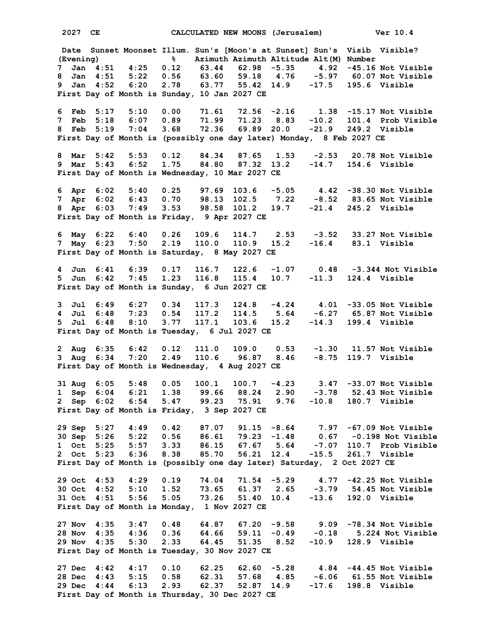**2027 CE CALCULATED NEW MOONS (Jerusalem) Ver 10.4 Date Sunset Moonset Illum. Sun's [Moon's at Sunset] Sun's Visib Visible? (Evening) % Azimuth Azimuth Altitude Alt(M) Number 7 Jan 4:51 4:25 0.12 63.44 62.98 -5.35 4.92 -45.16 Not Visible 8 Jan 4:51 5:22 0.56 63.60 59.18 4.76 -5.97 60.07 Not Visible 9 Jan 4:52 6:20 2.78 63.77 55.42 14.9 -17.5 195.6 Visible First Day of Month is Sunday, 10 Jan 2027 CE 6 Feb 5:17 5:10 0.00 71.61 72.56 -2.16 1.38 -15.17 Not Visible 7 Feb 5:18 6:07 0.89 71.99 71.23 8.83 -10.2 101.4 Prob Visible 8 Feb 5:19 7:04 3.68 72.36 69.89 20.0 -21.9 249.2 Visible First Day of Month is (possibly one day later) Monday, 8 Feb 2027 CE 8 Mar 5:42 5:53 0.12 84.34 87.65 1.53 -2.53 20.78 Not Visible 9 Mar 5:43 6:52 1.75 84.80 87.32 13.2 -14.7 154.6 Visible First Day of Month is Wednesday, 10 Mar 2027 CE 6 Apr 6:02 5:40 0.25 97.69 103.6 -5.05 4.42 -38.30 Not Visible 7 Apr 6:02 6:43 0.70 98.13 102.5 7.22 -8.52 83.65 Not Visible 8 Apr 6:03 7:49 3.53 98.58 101.2 19.7 -21.4 245.2 Visible First Day of Month is Friday, 9 Apr 2027 CE 6 May 6:22 6:40 0.26 109.6 114.7 2.53 -3.52 33.27 Not Visible 7 May 6:23 7:50 2.19 110.0 110.9 15.2 -16.4 83.1 Visible First Day of Month is Saturday, 8 May 2027 CE 4 Jun 6:41 6:39 0.17 116.7 122.6 -1.07 0.48 -3.344 Not Visible 5 Jun 6:42 7:45 1.23 116.8 115.4 10.7 -11.3 124.4 Visible First Day of Month is Sunday, 6 Jun 2027 CE 3 Jul 6:49 6:27 0.34 117.3 124.8 -4.24 4.01 -33.05 Not Visible 4 Jul 6:48 7:23 0.54 117.2 114.5 5.64 -6.27 65.87 Not Visible 5 Jul 6:48 8:10 3.77 117.1 103.6 15.2 -14.3 199.4 Visible First Day of Month is Tuesday, 6 Jul 2027 CE 2 Aug 6:35 6:42 0.12 111.0 109.0 0.53 -1.30 11.57 Not Visible 3 Aug 6:34 7:20 2.49 110.6 96.87 8.46 -8.75 119.7 Visible First Day of Month is Wednesday, 4 Aug 2027 CE 31 Aug 6:05 5:48 0.05 100.1 100.7 -4.23 3.47 -33.07 Not Visible 1 Sep 6:04 6:21 1.38 99.66 88.24 2.90 -3.78 52.43 Not Visible 2 Sep 6:02 6:54 5.47 99.23 75.91 9.76 -10.8 180.7 Visible First Day of Month is Friday, 3 Sep 2027 CE 29 Sep 5:27 4:49 0.42 87.07 91.15 -8.64 7.97 -67.09 Not Visible 30 Sep 5:26 5:22 0.56 86.61 79.23 -1.48 0.67 -0.198 Not Visible 1 Oct 5:25 5:57 3.33 86.15 67.67 5.64 -7.07 110.7 Prob Visible 2 Oct 5:23 6:36 8.38 85.70 56.21 12.4 -15.5 261.7 Visible First Day of Month is (possibly one day later) Saturday, 2 Oct 2027 CE 29 Oct 4:53 4:29 0.19 74.04 71.54 -5.29 4.77 -42.25 Not Visible 30 Oct 4:52 5:10 1.52 73.65 61.37 2.65 -3.79 54.45 Not Visible 31 Oct 4:51 5:56 5.05 73.26 51.40 10.4 -13.6 192.0 Visible First Day of Month is Monday, 1 Nov 2027 CE 27 Nov 4:35 3:47 0.48 64.87 67.20 -9.58 9.09 -78.34 Not Visible 28 Nov 4:35 4:36 0.36 64.66 59.11 -0.49 -0.18 5.224 Not Visible 29 Nov 4:35 5:30 2.33 64.45 51.35 8.52 -10.9 128.9 Visible First Day of Month is Tuesday, 30 Nov 2027 CE 27 Dec 4:42 4:17 0.10 62.25 62.60 -5.28 4.84 -44.45 Not Visible** 28 Dec 4:43 5:15 0.58 62.31 57.68 4.85 **29 Dec 4:44 6:13 2.93 62.37 52.87 14.9 -17.6 198.8 Visible First Day of Month is Thursday, 30 Dec 2027 CE**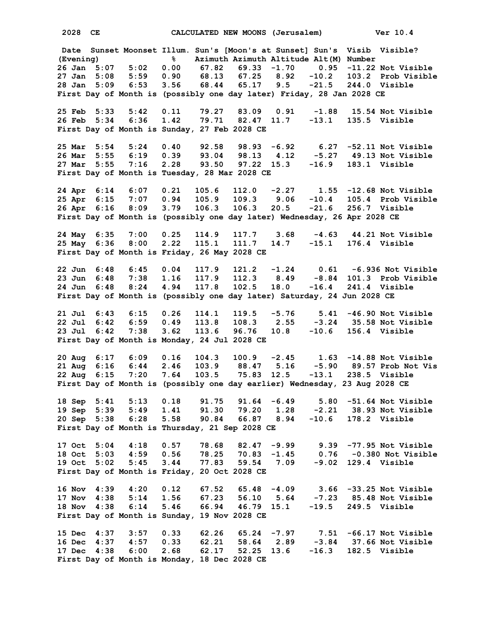**2028 CE CALCULATED NEW MOONS (Jerusalem) Ver 10.4 Date Sunset Moonset Illum. Sun's [Moon's at Sunset] Sun's Visib Visible? (Evening) % Azimuth Azimuth Altitude Alt(M) Number 26 Jan 5:07 5:02 0.00 67.82 69.33 -1.70 0.95 -11.22 Not Visible 27 Jan 5:08 5:59 0.90 68.13 67.25 8.92 -10.2 103.2 Prob Visible 28 Jan 5:09 6:53 3.56 68.44 65.17 9.5 -21.5 244.0 Visible First Day of Month is (possibly one day later) Friday, 28 Jan 2028 CE 25 Feb 5:33 5:42 0.11 79.27 83.09 0.91 -1.88 15.54 Not Visible 26 Feb 5:34 6:36 1.42 79.71 82.47 11.7 -13.1 135.5 Visible First Day of Month is Sunday, 27 Feb 2028 CE 25 Mar 5:54 5:24 0.40 92.58 98.93 -6.92 6.27 -52.11 Not Visible 26 Mar 5:55 6:19 0.39 93.04 98.13 4.12 -5.27 49.13 Not Visible 27 Mar 5:55 7:16 2.28 93.50 97.22 15.3 -16.9 183.1 Visible First Day of Month is Tuesday, 28 Mar 2028 CE 24 Apr 6:14 6:07 0.21 105.6 112.0 -2.27 1.55 -12.68 Not Visible 25 Apr 6:15 7:07 0.94 105.9 109.3 9.06 -10.4 105.4 Prob Visible 26 Apr 6:16 8:09 3.79 106.3 106.3 20.5 -21.6 256.7 Visible First Day of Month is (possibly one day later) Wednesday, 26 Apr 2028 CE 24 May 6:35 7:00 0.25 114.9 117.7 3.68 -4.63 44.21 Not Visible 25 May 6:36 8:00 2.22 115.1 111.7 14.7 -15.1 176.4 Visible First Day of Month is Friday, 26 May 2028 CE 22 Jun 6:48 6:45 0.04 117.9 121.2 -1.24 0.61 -6.936 Not Visible 23 Jun 6:48 7:38 1.16 117.9 112.3 8.49 -8.84 101.3 Prob Visible 24 Jun 6:48 8:24 4.94 117.8 102.5 18.0 -16.4 241.4 Visible First Day of Month is (possibly one day later) Saturday, 24 Jun 2028 CE 21 Jul 6:43 6:15 0.26 114.1 119.5 -5.76 5.41 -46.90 Not Visible 22 Jul 6:42 6:59 0.49 113.8 108.3 2.55 -3.24 35.58 Not Visible** 23 Jul 6:42 7:38 3.62 113.6 96.76 10.8 **First Day of Month is Monday, 24 Jul 2028 CE 20 Aug 6:17 6:09 0.16 104.3 100.9 -2.45 1.63 -14.88 Not Visible 21 Aug 6:16 6:44 2.46 103.9 88.47 5.16 -5.90 89.57 Prob Not Vis 22 Aug 6:15 7:20 7.64 103.5 75.83 12.5 -13.1 238.5 Visible First Day of Month is (possibly one day earlier) Wednesday, 23 Aug 2028 CE 18 Sep 5:41 5:13 0.18 91.75 91.64 -6.49 5.80 -51.64 Not Visible 19 Sep 5:39 5:49 1.41 91.30 79.20 1.28 -2.21 38.93 Not Visible 20 Sep 5:38 6:28 5.58 90.84 66.87 8.94 -10.6 178.2 Visible First Day of Month is Thursday, 21 Sep 2028 CE 17 Oct 5:04 4:18 0.57 78.68 82.47 -9.99 9.39 -77.95 Not Visible 18 Oct 5:03 4:59 0.56 78.25 70.83 -1.45 0.76 -0.380 Not Visible 19 Oct 5:02 5:45 3.44 77.83 59.54 7.09 -9.02 129.4 Visible First Day of Month is Friday, 20 Oct 2028 CE 16 Nov 4:39 4:20 0.12 67.52 65.48 -4.09 3.66 -33.25 Not Visible 17 Nov 4:38 5:14 1.56 67.23 56.10 5.64 -7.23 85.48 Not Visible 18 Nov 4:38 6:14 5.46 66.94 46.79 15.1 -19.5 249.5 Visible First Day of Month is Sunday, 19 Nov 2028 CE 15 Dec 4:37 3:57 0.33 62.26 65.24 -7.97 7.51 -66.17 Not Visible 16 Dec 4:37 4:57 0.33 62.21 58.64 2.89 -3.84 37.66 Not Visible 17 Dec 4:38 6:00 2.68 62.17 52.25 13.6 -16.3 182.5 Visible First Day of Month is Monday, 18 Dec 2028 CE**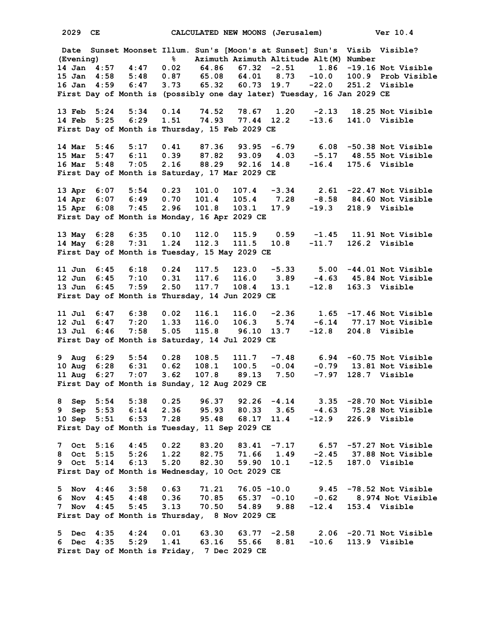**2029 CE CALCULATED NEW MOONS (Jerusalem) Ver 10.4 Date Sunset Moonset Illum. Sun's [Moon's at Sunset] Sun's Visib Visible? (Evening) % Azimuth Azimuth Altitude Alt(M) Number 14 Jan 4:57 4:47 0.02 64.86 67.32 -2.51 1.86 -19.16 Not Visible 15 Jan 4:58 5:48 0.87 65.08 64.01 8.73 -10.0 100.9 Prob Visible 16 Jan 4:59 6:47 3.73 65.32 60.73 19.7 -22.0 251.2 Visible First Day of Month is (possibly one day later) Tuesday, 16 Jan 2029 CE 13 Feb 5:24 5:34 0.14 74.52 78.67 1.20 -2.13 18.25 Not Visible 14 Feb 5:25 6:29 1.51 74.93 77.44 12.2 -13.6 141.0 Visible First Day of Month is Thursday, 15 Feb 2029 CE 14 Mar 5:46 5:17 0.41 87.36 93.95 -6.79 6.08 -50.38 Not Visible 15 Mar 5:47 6:11 0.39 87.82 93.09 4.03 -5.17 48.55 Not Visible 16 Mar 5:48 7:05 2.16 88.29 92.16 14.8 -16.4 175.6 Visible First Day of Month is Saturday, 17 Mar 2029 CE 13 Apr 6:07 5:54 0.23 101.0 107.4 -3.34 2.61 -22.47 Not Visible 14 Apr 6:07 6:49 0.70 101.4 105.4 7.28 -8.58 84.60 Not Visible 15 Apr 6:08 7:45 2.96 101.8 103.1 17.9 -19.3 218.9 Visible First Day of Month is Monday, 16 Apr 2029 CE 13 May 6:28 6:35 0.10 112.0 115.9 0.59 -1.45 11.91 Not Visible 14 May 6:28 7:31 1.24 112.3 111.5 10.8 -11.7 126.2 Visible First Day of Month is Tuesday, 15 May 2029 CE 11 Jun 6:45 6:18 0.24 117.5 123.0 -5.33 5.00 -44.01 Not Visible 12 Jun 6:45 7:10 0.31 117.6 116.0 3.89 -4.63 45.84 Not Visible 13 Jun 6:45 7:59 2.50 117.7 108.4 13.1 -12.8 163.3 Visible First Day of Month is Thursday, 14 Jun 2029 CE 11 Jul 6:47 6:38 0.02 116.1 116.0 -2.36 1.65 -17.46 Not Visible 12 Jul 6:47 7:20 1.33 116.0 106.3 5.74 -6.14 77.17 Not Visible 13 Jul 6:46 7:58 5.05 115.8 96.10 13.7 -12.8 204.8 Visible First Day of Month is Saturday, 14 Jul 2029 CE 9 Aug 6:29 5:54 0.28 108.5 111.7 -7.48 6.94 -60.75 Not Visible 10 Aug 6:28 6:31 0.62 108.1 100.5 -0.04 -0.79 13.81 Not Visible 11 Aug 6:27 7:07 3.62 107.8 89.13 7.50 -7.97 128.7 Visible First Day of Month is Sunday, 12 Aug 2029 CE 8 Sep 5:54 5:38 0.25 96.37 92.26 -4.14 3.35 -28.70 Not Visible 9 Sep 5:53 6:14 2.36 95.93 80.33 3.65 -4.63 75.28 Not Visible 10 Sep 5:51 6:53 7.28 95.48 68.17 11.4 -12.9 226.9 Visible First Day of Month is Tuesday, 11 Sep 2029 CE 7 Oct 5:16 4:45 0.22 83.20 83.41 -7.17 6.57 -57.27 Not Visible 8 Oct 5:15 5:26 1.22 82.75 71.66 1.49 -2.45 37.88 Not Visible 9 Oct 5:14 6:13 5.20 82.30 59.90 10.1 -12.5 187.0 Visible First Day of Month is Wednesday, 10 Oct 2029 CE 5 Nov 4:46 3:58 0.63 71.21 76.05 -10.0 9.45 -78.52 Not Visible 6 Nov 4:45 4:48 0.36 70.85 65.37 -0.10 -0.62 8.974 Not Visible 7 Nov 4:45 5:45 3.13 70.50 54.89 9.88 -12.4 153.4 Visible First Day of Month is Thursday, 8 Nov 2029 CE 5 Dec 4:35 4:24 0.01 63.30 63.77 -2.58 2.06 -20.71 Not Visible 6 Dec 4:35 5:29 1.41 63.16 55.66 8.81 -10.6 113.9 Visible First Day of Month is Friday, 7 Dec 2029 CE**